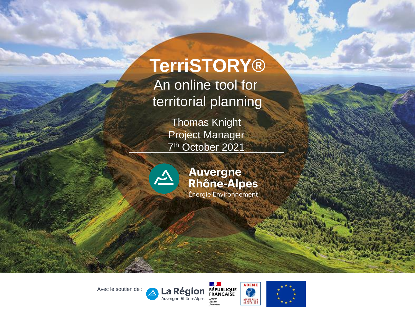### **TerriSTORY®**

An online tool for territorial planning

> Thomas Knight Project Manager 7 th October 2021



### **Auvergne** Rhône-Alpes

Avec le soutien de :



a Région Auvergne-Rhône-Alpes

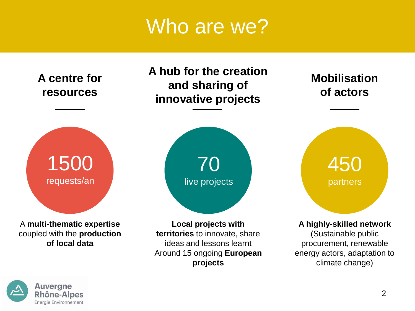### Who are we?



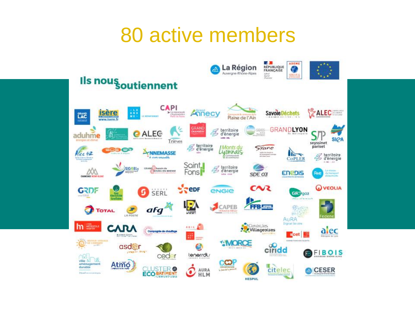### 80 active members

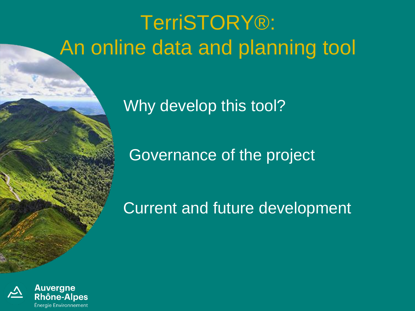# TerriSTORY®: An online data and planning tool

Why develop this tool?

Governance of the project

Current and future development

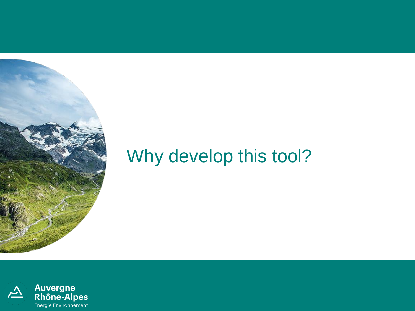

### Why develop this tool?

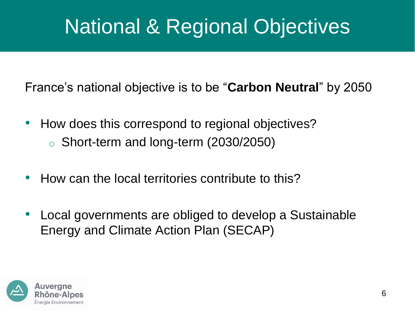# National & Regional Objectives

France's national objective is to be "**Carbon Neutral**" by 2050

- How does this correspond to regional objectives? o Short-term and long-term (2030/2050)
- How can the local territories contribute to this?
- Local governments are obliged to develop a Sustainable Energy and Climate Action Plan (SECAP)

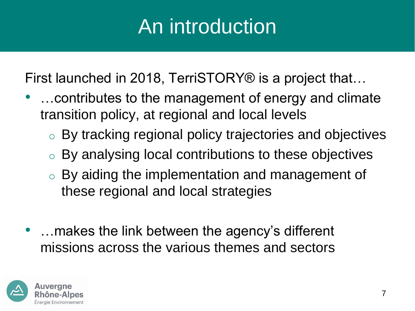# An introduction

First launched in 2018, TerriSTORY® is a project that…

- …contributes to the management of energy and climate transition policy, at regional and local levels
	- o By tracking regional policy trajectories and objectives
	- o By analysing local contributions to these objectives
	- $\circ$  By aiding the implementation and management of these regional and local strategies
- …makes the link between the agency's different missions across the various themes and sectors

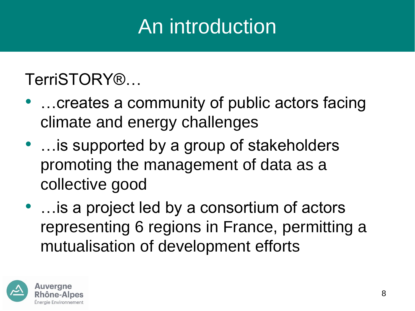# An introduction

### TerriSTORY®…

- …creates a community of public actors facing climate and energy challenges
- ... is supported by a group of stakeholders promoting the management of data as a collective good
- …is a project led by a consortium of actors representing 6 regions in France, permitting a mutualisation of development efforts

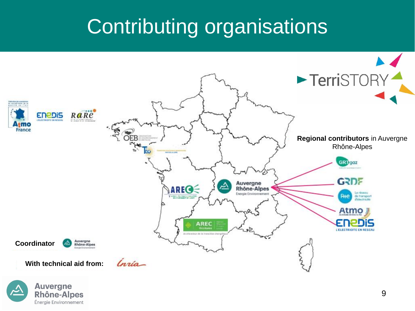## Contributing organisations



**Rhône-Alpes** Énergie Environnement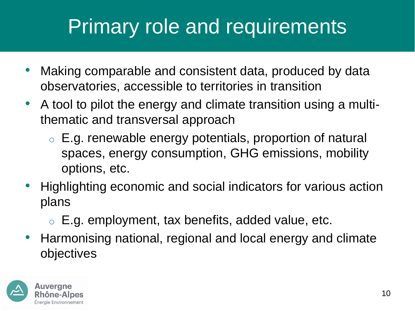## Primary role and requirements

- Making comparable and consistent data, produced by data observatories, accessible to territories in transition
- A tool to pilot the energy and climate transition using a multithematic and transversal approach
	- o E.g. renewable energy potentials, proportion of natural spaces, energy consumption, GHG emissions, mobility options, etc.
- Highlighting economic and social indicators for various action plans
	- $\circ$  E.g. employment, tax benefits, added value, etc.
- Harmonising national, regional and local energy and climate objectives

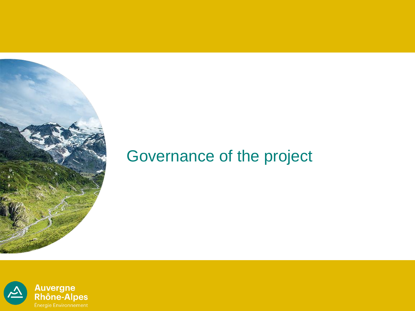

### Governance of the project

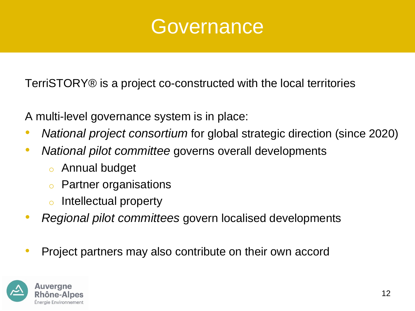

TerriSTORY® is a project co-constructed with the local territories

A multi-level governance system is in place:

- *National project consortium* for global strategic direction (since 2020)
- *National pilot committee* governs overall developments
	- o Annual budget
	- **Partner organisations**
	- Intellectual property
- *Regional pilot committees* govern localised developments
- Project partners may also contribute on their own accord

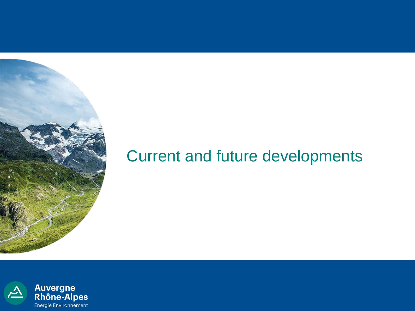

### Current and future developments

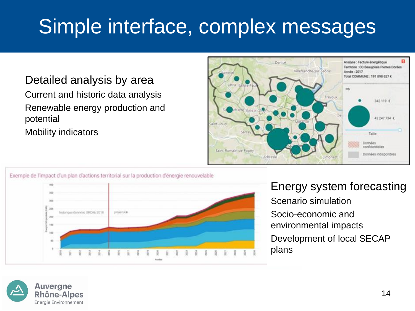## Simple interface, complex messages

#### Detailed analysis by area

Current and historic data analysis Renewable energy production and potential Mobility indicators





#### Energy system forecasting Scenario simulation Socio-economic and environmental impacts Development of local SECAP plans

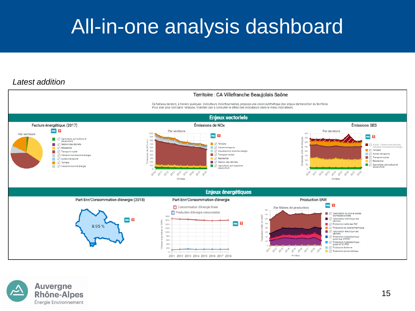## All-in-one analysis dashboard

#### *Latest addition*



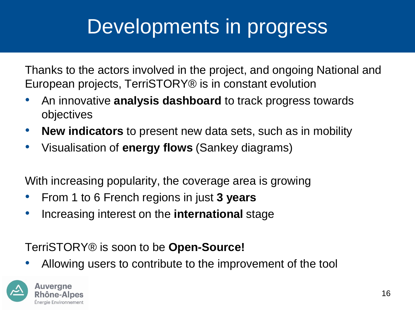## Developments in progress

Thanks to the actors involved in the project, and ongoing National and European projects, TerriSTORY® is in constant evolution

- An innovative **analysis dashboard** to track progress towards objectives
- **New indicators** to present new data sets, such as in mobility
- Visualisation of **energy flows** (Sankey diagrams)

With increasing popularity, the coverage area is growing

- From 1 to 6 French regions in just **3 years**
- Increasing interest on the **international** stage

#### TerriSTORY® is soon to be **Open-Source!**

• Allowing users to contribute to the improvement of the tool

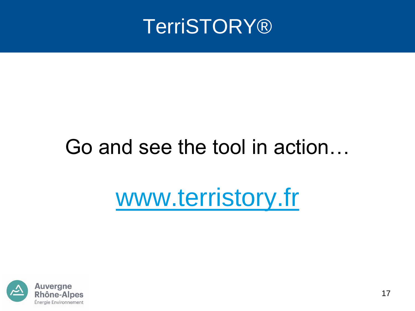

## Go and see the tool in action…

# [www.terristory.fr](http://www.terristory.fr/)